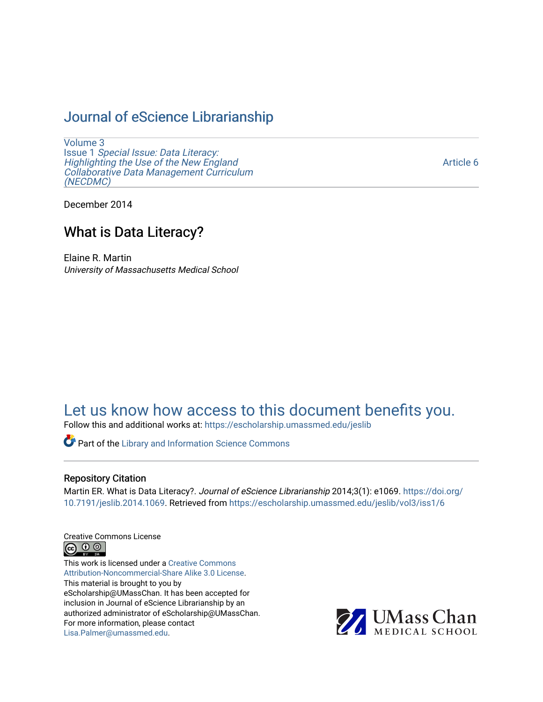# [Journal of eScience Librarianship](https://escholarship.umassmed.edu/jeslib)

[Volume 3](https://escholarship.umassmed.edu/jeslib/vol3) Issue 1 [Special Issue: Data Literacy:](https://escholarship.umassmed.edu/jeslib/vol3/iss1) [Highlighting the Use of the New England](https://escholarship.umassmed.edu/jeslib/vol3/iss1) [Collaborative Data Management Curriculum](https://escholarship.umassmed.edu/jeslib/vol3/iss1) [\(NECDMC\)](https://escholarship.umassmed.edu/jeslib/vol3/iss1) 

[Article 6](https://escholarship.umassmed.edu/jeslib/vol3/iss1/6) 

December 2014

## What is Data Literacy?

Elaine R. Martin University of Massachusetts Medical School

# [Let us know how access to this document benefits you.](https://arcsapps.umassmed.edu/redcap/surveys/?s=XWRHNF9EJE)

Follow this and additional works at: [https://escholarship.umassmed.edu/jeslib](https://escholarship.umassmed.edu/jeslib?utm_source=escholarship.umassmed.edu%2Fjeslib%2Fvol3%2Fiss1%2F6&utm_medium=PDF&utm_campaign=PDFCoverPages) 

Part of the [Library and Information Science Commons](http://network.bepress.com/hgg/discipline/1018?utm_source=escholarship.umassmed.edu%2Fjeslib%2Fvol3%2Fiss1%2F6&utm_medium=PDF&utm_campaign=PDFCoverPages) 

#### Repository Citation

Martin ER. What is Data Literacy?. Journal of eScience Librarianship 2014;3(1): e1069. [https://doi.org/](https://doi.org/10.7191/jeslib.2014.1069) [10.7191/jeslib.2014.1069.](https://doi.org/10.7191/jeslib.2014.1069) Retrieved from [https://escholarship.umassmed.edu/jeslib/vol3/iss1/6](https://escholarship.umassmed.edu/jeslib/vol3/iss1/6?utm_source=escholarship.umassmed.edu%2Fjeslib%2Fvol3%2Fiss1%2F6&utm_medium=PDF&utm_campaign=PDFCoverPages) 

Creative Commons License



This work is licensed under a [Creative Commons](https://creativecommons.org/licenses/by-nc-sa/3.0/) [Attribution-Noncommercial-Share Alike 3.0 License](https://creativecommons.org/licenses/by-nc-sa/3.0/). This material is brought to you by eScholarship@UMassChan. It has been accepted for inclusion in Journal of eScience Librarianship by an authorized administrator of eScholarship@UMassChan. For more information, please contact [Lisa.Palmer@umassmed.edu](mailto:Lisa.Palmer@umassmed.edu).

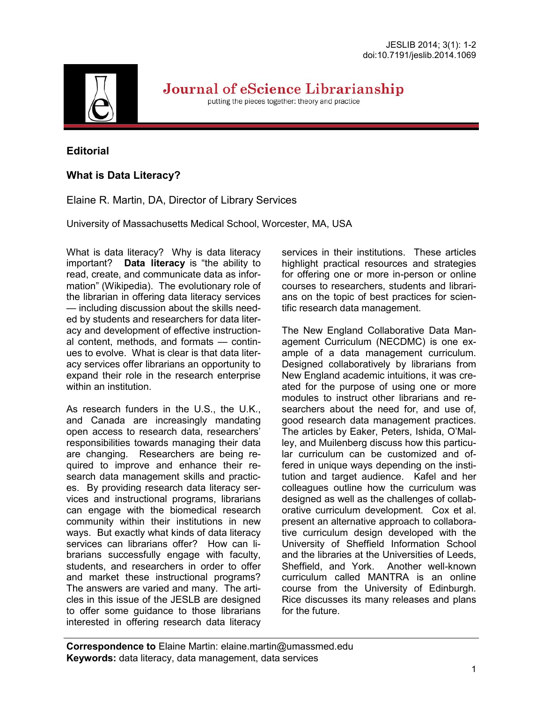

Journal of eScience Librarianship

putting the pieces together: theory and practice

### **Editorial**

## **What is Data Literacy?**

Elaine R. Martin, DA, Director of Library Services

University of Massachusetts Medical School, Worcester, MA, USA

What is data literacy? Why is data literacy important? **Data literacy** is "the ability to read, create, and communicate data as information" (Wikipedia). The evolutionary role of the librarian in offering data literacy services — including discussion about the skills needed by students and researchers for data literacy and development of effective instructional content, methods, and formats — continues to evolve. What is clear is that data literacy services offer librarians an opportunity to expand their role in the research enterprise within an institution.

As research funders in the U.S., the U.K., and Canada are increasingly mandating open access to research data, researchers' responsibilities towards managing their data are changing. Researchers are being required to improve and enhance their research data management skills and practices. By providing research data literacy services and instructional programs, librarians can engage with the biomedical research community within their institutions in new ways. But exactly what kinds of data literacy services can librarians offer? How can librarians successfully engage with faculty, students, and researchers in order to offer and market these instructional programs? The answers are varied and many. The articles in this issue of the JESLB are designed to offer some guidance to those librarians interested in offering research data literacy services in their institutions. These articles highlight practical resources and strategies for offering one or more in-person or online courses to researchers, students and librarians on the topic of best practices for scientific research data management.

The New England Collaborative Data Management Curriculum (NECDMC) is one example of a data management curriculum. Designed collaboratively by librarians from New England academic intuitions, it was created for the purpose of using one or more modules to instruct other librarians and researchers about the need for, and use of, good research data management practices. The articles by Eaker, Peters, Ishida, O'Malley, and Muilenberg discuss how this particular curriculum can be customized and offered in unique ways depending on the institution and target audience. Kafel and her colleagues outline how the curriculum was designed as well as the challenges of collaborative curriculum development. Cox et al. present an alternative approach to collaborative curriculum design developed with the University of Sheffield Information School and the libraries at the Universities of Leeds, Sheffield, and York. Another well-known curriculum called MANTRA is an online course from the University of Edinburgh. Rice discusses its many releases and plans for the future.